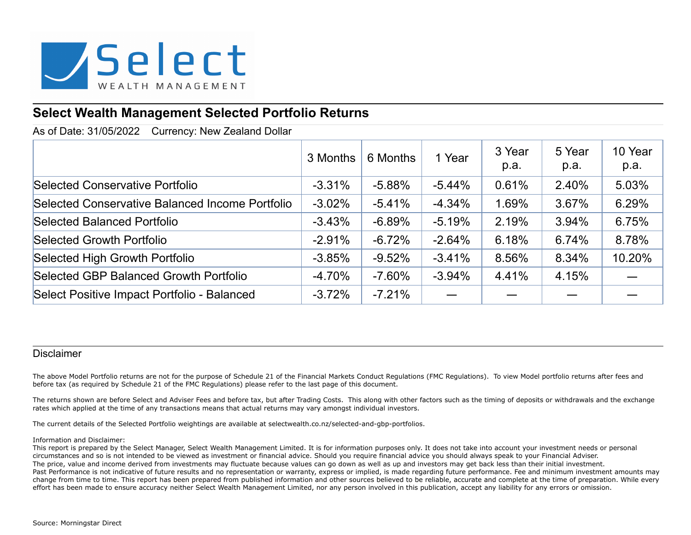

# **Select Wealth Management Selected Portfolio Returns**

As of Date: 31/05/2022 Currency: New Zealand Dollar

|                                                 | 3 Months | 6 Months | 1 Year   | 3 Year<br>p.a. | 5 Year<br>p.a. | 10 Year<br>p.a. |
|-------------------------------------------------|----------|----------|----------|----------------|----------------|-----------------|
| Selected Conservative Portfolio                 | $-3.31%$ | $-5.88%$ | $-5.44%$ | 0.61%          | 2.40%          | 5.03%           |
| Selected Conservative Balanced Income Portfolio | $-3.02%$ | $-5.41%$ | $-4.34%$ | 1.69%          | 3.67%          | 6.29%           |
| <b>Selected Balanced Portfolio</b>              | $-3.43%$ | $-6.89%$ | $-5.19%$ | 2.19%          | 3.94%          | 6.75%           |
| Selected Growth Portfolio                       | $-2.91%$ | $-6.72%$ | $-2.64%$ | 6.18%          | 6.74%          | 8.78%           |
| Selected High Growth Portfolio                  | $-3.85%$ | $-9.52%$ | $-3.41%$ | 8.56%          | 8.34%          | 10.20%          |
| Selected GBP Balanced Growth Portfolio          | $-4.70%$ | $-7.60%$ | $-3.94%$ | 4.41%          | 4.15%          |                 |
| Select Positive Impact Portfolio - Balanced     | $-3.72%$ | $-7.21%$ |          |                |                |                 |

### Disclaimer

The above Model Portfolio returns are not for the purpose of Schedule 21 of the Financial Markets Conduct Regulations (FMC Regulations). To view Model portfolio returns after fees and before tax (as required by Schedule 21 of the FMC Regulations) please refer to the last page of this document.

The returns shown are before Select and Adviser Fees and before tax, but after Trading Costs. This along with other factors such as the timing of deposits or withdrawals and the exchange rates which applied at the time of any transactions means that actual returns may vary amongst individual investors.

The current details of the Selected Portfolio weightings are available at selectwealth.co.nz/selected-and-gbp-portfolios.

#### Information and Disclaimer:

This report is prepared by the Select Manager, Select Wealth Management Limited. It is for information purposes only. It does not take into account your investment needs or personal circumstances and so is not intended to be viewed as investment or financial advice. Should you require financial advice you should always speak to your Financial Adviser. The price, value and income derived from investments may fluctuate because values can go down as well as up and investors may get back less than their initial investment. Past Performance is not indicative of future results and no representation or warranty, express or implied, is made regarding future performance. Fee and minimum investment amounts may change from time to time. This report has been prepared from published information and other sources believed to be reliable, accurate and complete at the time of preparation. While every effort has been made to ensure accuracy neither Select Wealth Management Limited, nor any person involved in this publication, accept any liability for any errors or omission.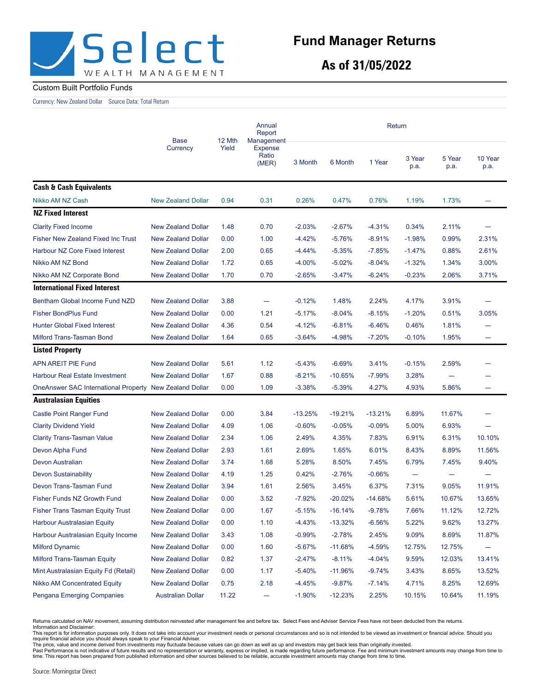

**As of 31/05/2022**

#### Custom Built Portfolio Funds

Currency: New Zealand Dollar Source Data: Total Return

|                                             | <b>Base</b>               |       | Annual<br>Report<br>12 Mth<br>Management |           | Return    |           |                          |                |                 |  |
|---------------------------------------------|---------------------------|-------|------------------------------------------|-----------|-----------|-----------|--------------------------|----------------|-----------------|--|
|                                             | Currency                  | Yield | <b>Expense</b><br>Ratio<br>(MER)         | 3 Month   | 6 Month   | 1 Year    | 3 Year<br>p.a.           | 5 Year<br>p.a. | 10 Year<br>p.a. |  |
| <b>Cash &amp; Cash Equivalents</b>          |                           |       |                                          |           |           |           |                          |                |                 |  |
| Nikko AM NZ Cash                            | <b>New Zealand Dollar</b> | 0.94  | 0.31                                     | 0.26%     | 0.47%     | 0.76%     | 1.19%                    | 1.73%          |                 |  |
| <b>NZ Fixed Interest</b>                    |                           |       |                                          |           |           |           |                          |                |                 |  |
| <b>Clarity Fixed Income</b>                 | <b>New Zealand Dollar</b> | 1.48  | 0.70                                     | $-2.03%$  | $-2.67%$  | $-4.31%$  | 0.34%                    | 2.11%          |                 |  |
| <b>Fisher New Zealand Fixed Inc Trust</b>   | <b>New Zealand Dollar</b> | 0.00  | 1.00                                     | $-4.42%$  | $-5.76%$  | $-8.91%$  | $-1.98%$                 | 0.99%          | 2.31%           |  |
| Harbour NZ Core Fixed Interest              | <b>New Zealand Dollar</b> | 2.00  | 0.65                                     | $-4.44%$  | $-5.35%$  | $-7.85%$  | $-1.47%$                 | 0.88%          | 2.61%           |  |
| Nikko AM NZ Bond                            | <b>New Zealand Dollar</b> | 1.72  | 0.65                                     | $-4.00%$  | $-5.02%$  | $-8.04%$  | $-1.32%$                 | 1.34%          | 3.00%           |  |
| Nikko AM NZ Corporate Bond                  | <b>New Zealand Dollar</b> | 1.70  | 0.70                                     | $-2.65%$  | $-3.47%$  | $-6.24%$  | $-0.23%$                 | 2.06%          | 3.71%           |  |
| <b>International Fixed Interest</b>         |                           |       |                                          |           |           |           |                          |                |                 |  |
| Bentham Global Income Fund NZD              | <b>New Zealand Dollar</b> | 3.88  | $\overline{\phantom{0}}$                 | $-0.12%$  | 1.48%     | 2.24%     | 4.17%                    | 3.91%          |                 |  |
| <b>Fisher BondPlus Fund</b>                 | <b>New Zealand Dollar</b> | 0.00  | 1.21                                     | $-5.17%$  | $-8.04%$  | $-8.15%$  | $-1.20%$                 | 0.51%          | 3.05%           |  |
| <b>Hunter Global Fixed Interest</b>         | <b>New Zealand Dollar</b> | 4.36  | 0.54                                     | $-4.12%$  | $-6.81%$  | $-6.46%$  | 0.46%                    | 1.81%          |                 |  |
| Milford Trans-Tasman Bond                   | <b>New Zealand Dollar</b> | 1.64  | 0.65                                     | $-3.64%$  | $-4.98%$  | $-7.20%$  | $-0.10%$                 | 1.95%          |                 |  |
| <b>Listed Property</b>                      |                           |       |                                          |           |           |           |                          |                |                 |  |
| <b>APN AREIT PIE Fund</b>                   | <b>New Zealand Dollar</b> | 5.61  | 1.12                                     | $-5.43%$  | $-6.69%$  | 3.41%     | $-0.15%$                 | 2.59%          |                 |  |
| <b>Harbour Real Estate Investment</b>       | <b>New Zealand Dollar</b> | 1.67  | 0.88                                     | $-8.21%$  | $-10.65%$ | $-7.99%$  | 3.28%                    |                |                 |  |
| <b>OneAnswer SAC International Property</b> | <b>New Zealand Dollar</b> | 0.00  | 1.09                                     | $-3.38%$  | $-5.39%$  | 4.27%     | 4.93%                    | 5.86%          |                 |  |
| <b>Australasian Equities</b>                |                           |       |                                          |           |           |           |                          |                |                 |  |
| <b>Castle Point Ranger Fund</b>             | <b>New Zealand Dollar</b> | 0.00  | 3.84                                     | $-13.25%$ | $-19.21%$ | $-13.21%$ | 6.89%                    | 11.67%         |                 |  |
| <b>Clarity Dividend Yield</b>               | <b>New Zealand Dollar</b> | 4.09  | 1.06                                     | $-0.60%$  | $-0.05%$  | $-0.09%$  | 5.00%                    | 6.93%          |                 |  |
| <b>Clarity Trans-Tasman Value</b>           | <b>New Zealand Dollar</b> | 2.34  | 1.06                                     | 2.49%     | 4.35%     | 7.83%     | 6.91%                    | 6.31%          | 10.10%          |  |
| Devon Alpha Fund                            | <b>New Zealand Dollar</b> | 2.93  | 1.61                                     | 2.69%     | 1.65%     | 6.01%     | 8.43%                    | 8.89%          | 11.56%          |  |
| Devon Australian                            | <b>New Zealand Dollar</b> | 3.74  | 1.68                                     | 5.28%     | 8.50%     | 7.45%     | 6.79%                    | 7.45%          | 9.40%           |  |
| <b>Devon Sustainability</b>                 | <b>New Zealand Dollar</b> | 4.19  | 1.25                                     | 0.42%     | $-2.76%$  | $-0.66%$  | $\overline{\phantom{0}}$ |                |                 |  |
| Devon Trans-Tasman Fund                     | <b>New Zealand Dollar</b> | 3.94  | 1.61                                     | 2.56%     | 3.45%     | 6.37%     | 7.31%                    | 9.05%          | 11.91%          |  |
| <b>Fisher Funds NZ Growth Fund</b>          | <b>New Zealand Dollar</b> | 0.00  | 3.52                                     | $-7.92%$  | $-20.02%$ | $-14.68%$ | 5.61%                    | 10.67%         | 13.65%          |  |
| <b>Fisher Trans Tasman Equity Trust</b>     | <b>New Zealand Dollar</b> | 0.00  | 1.67                                     | $-5.15%$  | $-16.14%$ | $-9.78%$  | 7.66%                    | 11.12%         | 12.72%          |  |
| <b>Harbour Australasian Equity</b>          | <b>New Zealand Dollar</b> | 0.00  | 1.10                                     | $-4.43%$  | $-13.32%$ | $-6.56%$  | 5.22%                    | 9.62%          | 13.27%          |  |
| Harbour Australasian Equity Income          | <b>New Zealand Dollar</b> | 3.43  | 1.08                                     | $-0.99%$  | $-2.78%$  | 2.45%     | 9.09%                    | 8.69%          | 11.87%          |  |
| <b>Milford Dynamic</b>                      | <b>New Zealand Dollar</b> | 0.00  | 1.60                                     | $-5.67%$  | $-11.68%$ | $-4.59%$  | 12.75%                   | 12.75%         | -               |  |
| Milford Trans-Tasman Equity                 | <b>New Zealand Dollar</b> | 0.82  | 1.37                                     | $-2.47%$  | $-8.11%$  | $-4.04%$  | 9.59%                    | 12.03%         | 13.41%          |  |
| Mint Australasian Equity Fd (Retail)        | <b>New Zealand Dollar</b> | 0.00  | 1.17                                     | $-5.40%$  | $-11.96%$ | $-9.74%$  | 3.43%                    | 8.65%          | 13.52%          |  |
| <b>Nikko AM Concentrated Equity</b>         | <b>New Zealand Dollar</b> | 0.75  | 2.18                                     | $-4.45%$  | $-9.87%$  | $-7.14%$  | 4.71%                    | 8.25%          | 12.69%          |  |
| Pengana Emerging Companies                  | <b>Australian Dollar</b>  | 11.22 | $\overline{\phantom{0}}$                 | $-1.90%$  | $-12.23%$ | 2.25%     | 10.15%                   | 10.64%         | 11.19%          |  |

Returns calculated on NAV movement, assuming distribution reinvested after management fee and before tax. Select Fees and Adviser Service Fees have not been deducted from the returns.<br>Information and Disclaimer:

This report is for information purposes only. It does not take into account your investment needs or personal circumstances and so is not intended to be viewed as investment or financial advice. Should you

require financial advice you should always speak to your Financial Adviser.<br>The price, value and income derived from investments may fluctuate because values can go down as well as up and investors may get back less than o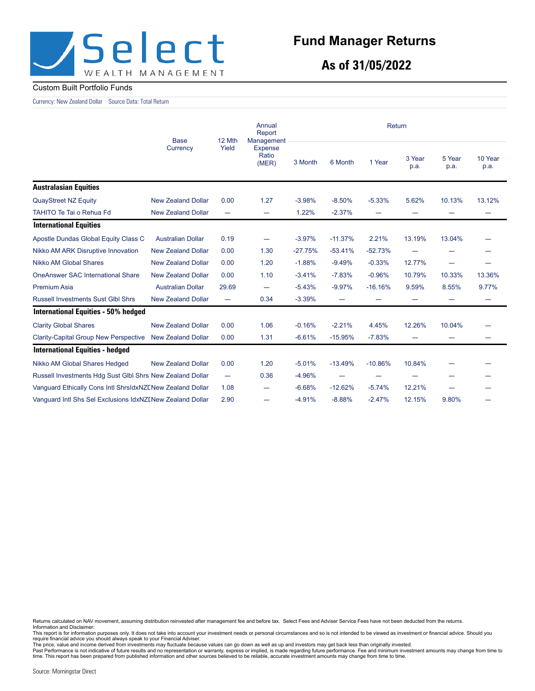

**As of 31/05/2022**

#### Custom Built Portfolio Funds

Currency: New Zealand Dollar Source Data: Total Return

|                                                           | <b>Base</b>               | 12 Mth                           | Annual<br>Report<br>Management   | Return    |           |                          |                          |                          |                 |
|-----------------------------------------------------------|---------------------------|----------------------------------|----------------------------------|-----------|-----------|--------------------------|--------------------------|--------------------------|-----------------|
|                                                           | Currency                  | Yield                            | <b>Expense</b><br>Ratio<br>(MER) | 3 Month   | 6 Month   | 1 Year                   | 3 Year<br>p.a.           | 5 Year<br>p.a.           | 10 Year<br>p.a. |
| <b>Australasian Equities</b>                              |                           |                                  |                                  |           |           |                          |                          |                          |                 |
| <b>QuayStreet NZ Equity</b>                               | <b>New Zealand Dollar</b> | 0.00                             | 1.27                             | $-3.98%$  | $-8.50%$  | $-5.33%$                 | 5.62%                    | 10.13%                   | 13.12%          |
| <b>TAHITO Te Tai o Rehua Fd</b>                           | <b>New Zealand Dollar</b> | $\overline{\phantom{0}}$         |                                  | 1.22%     | $-2.37%$  | $\overline{\phantom{0}}$ |                          |                          |                 |
| <b>International Equities</b>                             |                           |                                  |                                  |           |           |                          |                          |                          |                 |
| Apostle Dundas Global Equity Class C                      | <b>Australian Dollar</b>  | 0.19                             |                                  | $-3.97%$  | $-11.37%$ | 2.21%                    | 13.19%                   | 13.04%                   |                 |
| Nikko AM ARK Disruptive Innovation                        | <b>New Zealand Dollar</b> | 0.00                             | 1.30                             | $-27.75%$ | $-53.41%$ | $-52.73%$                |                          |                          |                 |
| Nikko AM Global Shares                                    | <b>New Zealand Dollar</b> | 0.00                             | 1.20                             | $-1.88%$  | $-9.49%$  | $-0.33%$                 | 12.77%                   | $\overline{\phantom{0}}$ |                 |
| <b>OneAnswer SAC International Share</b>                  | <b>New Zealand Dollar</b> | 0.00                             | 1.10                             | $-3.41%$  | $-7.83%$  | $-0.96%$                 | 10.79%                   | 10.33%                   | 13.36%          |
| <b>Premium Asia</b>                                       | <b>Australian Dollar</b>  | 29.69                            | —                                | $-5.43%$  | $-9.97%$  | $-16.16%$                | 9.59%                    | 8.55%                    | 9.77%           |
| <b>Russell Investments Sust Glbl Shrs</b>                 | <b>New Zealand Dollar</b> |                                  | 0.34                             | $-3.39%$  |           |                          |                          |                          |                 |
| International Equities - 50% hedged                       |                           |                                  |                                  |           |           |                          |                          |                          |                 |
| <b>Clarity Global Shares</b>                              | <b>New Zealand Dollar</b> | 0.00                             | 1.06                             | $-0.16%$  | $-2.21%$  | 4.45%                    | 12.26%                   | 10.04%                   |                 |
| <b>Clarity-Capital Group New Perspective</b>              | <b>New Zealand Dollar</b> | 0.00                             | 1.31                             | $-6.61%$  | $-15.95%$ | $-7.83%$                 |                          |                          |                 |
| <b>International Equities - hedged</b>                    |                           |                                  |                                  |           |           |                          |                          |                          |                 |
| Nikko AM Global Shares Hedged                             | <b>New Zealand Dollar</b> | 0.00                             | 1.20                             | $-5.01%$  | $-13.49%$ | $-10.86%$                | 10.84%                   |                          |                 |
| Russell Investments Hdg Sust Glbl Shrs New Zealand Dollar |                           | $\overbrace{\phantom{12322111}}$ | 0.36                             | $-4.96%$  |           | -                        | $\overline{\phantom{m}}$ |                          |                 |
| Vanguard Ethically Cons Intl ShrsIdxNZENew Zealand Dollar |                           | 1.08                             | —                                | $-6.68%$  | $-12.62%$ | $-5.74%$                 | 12.21%                   |                          |                 |
| Vanguard Intl Shs Sel Exclusions IdxNZINew Zealand Dollar |                           | 2.90                             | -                                | $-4.91%$  | $-8.88%$  | $-2.47%$                 | 12.15%                   | 9.80%                    |                 |

Returns calculated on NAV movement, assuming distribution reinvested after management fee and before tax. Select Fees and Adviser Service Fees have not been deducted from the returns.<br>Information and Disclaimer:

This report is for information purposes only. It does not take into account your investment needs or personal circumstances and so is not intended to be viewed as investment or financial advice. Should you

require financial advice you should always speak to your Financial Adviser.<br>The price, value and income derived from investments may fluctuate because values can go down as well as up and investors may get back less than o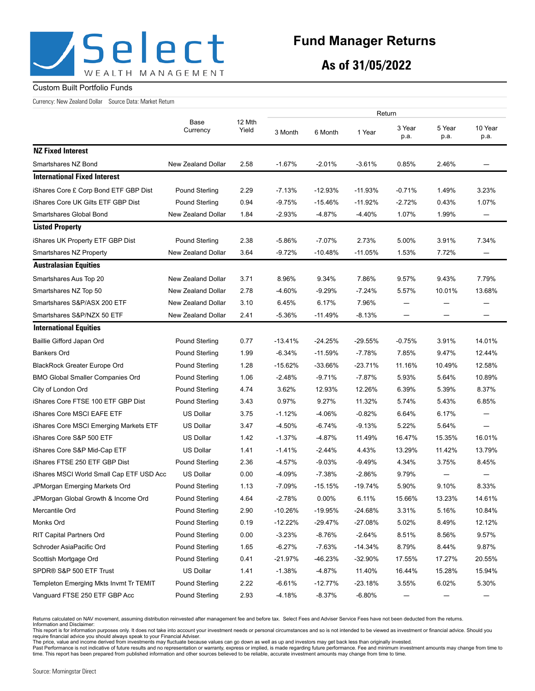

## **Fund Manager Returns**

**As of 31/05/2022**

#### Custom Built Portfolio Funds

Currency: New Zealand Dollar Source Data: Market Return

|                                          |                           | 12 Mth<br>Yield | Return    |            |           |                                  |                          |                          |  |
|------------------------------------------|---------------------------|-----------------|-----------|------------|-----------|----------------------------------|--------------------------|--------------------------|--|
|                                          | Base<br>Currency          |                 | 3 Month   | 6 Month    | 1 Year    | 3 Year<br>p.a.                   | 5 Year<br>p.a.           | 10 Year<br>p.a.          |  |
| <b>NZ Fixed Interest</b>                 |                           |                 |           |            |           |                                  |                          |                          |  |
| Smartshares NZ Bond                      | New Zealand Dollar        | 2.58            | $-1.67%$  | $-2.01%$   | $-3.61%$  | 0.85%                            | 2.46%                    |                          |  |
| <b>International Fixed Interest</b>      |                           |                 |           |            |           |                                  |                          |                          |  |
| iShares Core £ Corp Bond ETF GBP Dist    | Pound Sterling            | 2.29            | $-7.13%$  | $-12.93%$  | $-11.93%$ | $-0.71%$                         | 1.49%                    | 3.23%                    |  |
| iShares Core UK Gilts ETF GBP Dist       | Pound Sterling            | 0.94            | $-9.75%$  | $-15.46%$  | $-11.92%$ | $-2.72%$                         | 0.43%                    | 1.07%                    |  |
| Smartshares Global Bond                  | New Zealand Dollar        | 1.84            | $-2.93%$  | $-4.87%$   | $-4.40%$  | 1.07%                            | 1.99%                    | —                        |  |
| <b>Listed Property</b>                   |                           |                 |           |            |           |                                  |                          |                          |  |
| iShares UK Property ETF GBP Dist         | Pound Sterling            | 2.38            | $-5.86%$  | $-7.07%$   | 2.73%     | 5.00%                            | 3.91%                    | 7.34%                    |  |
| Smartshares NZ Property                  | New Zealand Dollar        | 3.64            | $-9.72%$  | $-10.48%$  | $-11.05%$ | 1.53%                            | 7.72%                    |                          |  |
| <b>Australasian Equities</b>             |                           |                 |           |            |           |                                  |                          |                          |  |
| Smartshares Aus Top 20                   | New Zealand Dollar        | 3.71            | 8.96%     | 9.34%      | 7.86%     | 9.57%                            | 9.43%                    | 7.79%                    |  |
| Smartshares NZ Top 50                    | New Zealand Dollar        | 2.78            | $-4.60%$  | $-9.29%$   | $-7.24%$  | 5.57%                            | 10.01%                   | 13.68%                   |  |
| Smartshares S&P/ASX 200 ETF              | New Zealand Dollar        | 3.10            | 6.45%     | 6.17%      | 7.96%     |                                  |                          |                          |  |
| Smartshares S&P/NZX 50 ETF               | <b>New Zealand Dollar</b> | 2.41            | $-5.36%$  | $-11.49%$  | $-8.13%$  | $\overbrace{\phantom{12322111}}$ | $\overline{\phantom{0}}$ | $\overline{\phantom{0}}$ |  |
| <b>International Equities</b>            |                           |                 |           |            |           |                                  |                          |                          |  |
| Baillie Gifford Japan Ord                | Pound Sterling            | 0.77            | $-13.41%$ | $-24.25%$  | -29.55%   | $-0.75%$                         | 3.91%                    | 14.01%                   |  |
| Bankers Ord                              | Pound Sterling            | 1.99            | $-6.34%$  | $-11.59%$  | $-7.78%$  | 7.85%                            | 9.47%                    | 12.44%                   |  |
| <b>BlackRock Greater Europe Ord</b>      | Pound Sterling            | 1.28            | $-15.62%$ | $-33.66%$  | $-23.71%$ | 11.16%                           | 10.49%                   | 12.58%                   |  |
| <b>BMO Global Smaller Companies Ord</b>  | Pound Sterling            | 1.06            | $-2.48%$  | $-9.71%$   | $-7.87%$  | 5.93%                            | 5.64%                    | 10.89%                   |  |
| City of London Ord                       | Pound Sterling            | 4.74            | 3.62%     | 12.93%     | 12.26%    | 6.39%                            | 5.39%                    | 8.37%                    |  |
| iShares Core FTSE 100 ETF GBP Dist       | Pound Sterling            | 3.43            | 0.97%     | 9.27%      | 11.32%    | 5.74%                            | 5.43%                    | 6.85%                    |  |
| iShares Core MSCI EAFE ETF               | <b>US Dollar</b>          | 3.75            | $-1.12%$  | $-4.06%$   | $-0.82%$  | 6.64%                            | 6.17%                    | —                        |  |
| iShares Core MSCI Emerging Markets ETF   | <b>US Dollar</b>          | 3.47            | $-4.50%$  | $-6.74%$   | $-9.13%$  | 5.22%                            | 5.64%                    |                          |  |
| iShares Core S&P 500 ETF                 | <b>US Dollar</b>          | 1.42            | $-1.37%$  | $-4.87%$   | 11.49%    | 16.47%                           | 15.35%                   | 16.01%                   |  |
| iShares Core S&P Mid-Cap ETF             | <b>US Dollar</b>          | 1.41            | $-1.41%$  | $-2.44%$   | 4.43%     | 13.29%                           | 11.42%                   | 13.79%                   |  |
| iShares FTSE 250 ETF GBP Dist            | Pound Sterling            | 2.36            | $-4.57%$  | $-9.03%$   | $-9.49%$  | 4.34%                            | 3.75%                    | 8.45%                    |  |
| iShares MSCI World Small Cap ETF USD Acc | <b>US Dollar</b>          | 0.00            | $-4.09%$  | $-7.38%$   | $-2.86%$  | 9.79%                            |                          |                          |  |
| JPMorgan Emerging Markets Ord            | Pound Sterling            | 1.13            | $-7.09%$  | $-15.15%$  | -19.74%   | 5.90%                            | 9.10%                    | 8.33%                    |  |
| JPMorgan Global Growth & Income Ord      | Pound Sterling            | 4.64            | $-2.78%$  | 0.00%      | 6.11%     | 15.66%                           | 13.23%                   | 14.61%                   |  |
| Mercantile Ord                           | Pound Sterling            | 2.90            | -10.26%   | -19.95%    | -24.68%   | 3.31%                            | 5.16%                    | 10.84%                   |  |
| Monks Ord                                | Pound Sterling            | 0.19            | $-12.22%$ | $-29.47%$  | -27.08%   | 5.02%                            | 8.49%                    | 12.12%                   |  |
| <b>RIT Capital Partners Ord</b>          | Pound Sterling            | 0.00            | $-3.23%$  | $-8.76%$   | $-2.64%$  | 8.51%                            | 8.56%                    | 9.57%                    |  |
| Schroder AsiaPacific Ord                 | Pound Sterling            | 1.65            | $-6.27%$  | $-7.63%$   | $-14.34%$ | 8.79%                            | 8.44%                    | 9.87%                    |  |
| Scottish Mortgage Ord                    | Pound Sterling            | 0.41            | $-21.97%$ | $-46.23%$  | -32.90%   | 17.55%                           | 17.27%                   | 20.55%                   |  |
| SPDR® S&P 500 ETF Trust                  | US Dollar                 | 1.41            | $-1.38%$  | $-4.87%$   | 11.40%    | 16.44%                           | 15.28%                   | 15.94%                   |  |
| Templeton Emerging Mkts Invmt Tr TEMIT   | Pound Sterling            | 2.22            | $-6.61%$  | $-12.77\%$ | -23.18%   | 3.55%                            | 6.02%                    | 5.30%                    |  |
| Vanguard FTSE 250 ETF GBP Acc            | Pound Sterling            | 2.93            | $-4.18%$  | $-8.37%$   | $-6.80%$  |                                  |                          |                          |  |

Returns calculated on NAV movement, assuming distribution reinvested after management fee and before tax. Select Fees and Adviser Service Fees have not been deducted from the returns. Information and Disclaimer:

This report is for information purposes only. It does not take into account your investment needs or personal circumstances and so is not intended to be viewed as investment or financial advice. Should you<br>require financia

The price, value and income derived from investments may fluctuate because values can go down as well as up and investors may get back less than originally invested.<br>Past Performance is not indicative of future results and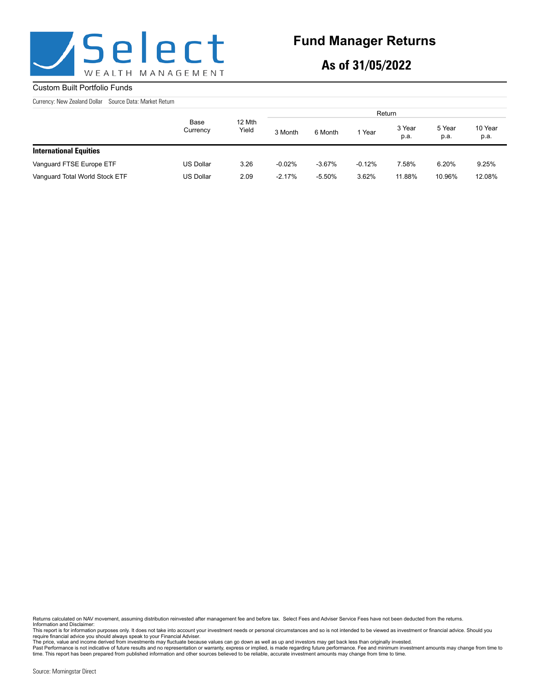

## **Fund Manager Returns**

**As of 31/05/2022**

#### Custom Built Portfolio Funds

Currency: New Zealand Dollar Source Data: Market Return

|                                |                  | 12 Mth<br>Yield | Return   |          |          |                |                |                 |  |
|--------------------------------|------------------|-----------------|----------|----------|----------|----------------|----------------|-----------------|--|
|                                | Base<br>Currency |                 | 3 Month  | 6 Month  | Year     | 3 Year<br>p.a. | 5 Year<br>p.a. | 10 Year<br>p.a. |  |
| <b>International Equities</b>  |                  |                 |          |          |          |                |                |                 |  |
| Vanguard FTSE Europe ETF       | <b>US Dollar</b> | 3.26            | $-0.02%$ | $-3.67%$ | $-0.12%$ | 7.58%          | 6.20%          | 9.25%           |  |
| Vanguard Total World Stock ETF | <b>US Dollar</b> | 2.09            | $-2.17%$ | $-5.50%$ | 3.62%    | 11.88%         | 10.96%         | 12.08%          |  |

Returns calculated on NAV movement, assuming distribution reinvested after management fee and before tax. Select Fees and Adviser Service Fees have not been deducted from the returns. Information and Disclaimer:

This report is for information purposes only. It does not take into account your investment needs or personal circumstances and so is not intended to be viewed as investment or financial advice. Should you<br>require financia

The price, value and income derived from investments may fluctuate because values can go down as well as up and investors may get back less than originally invested.<br>Past Performance is not indicative of future results and